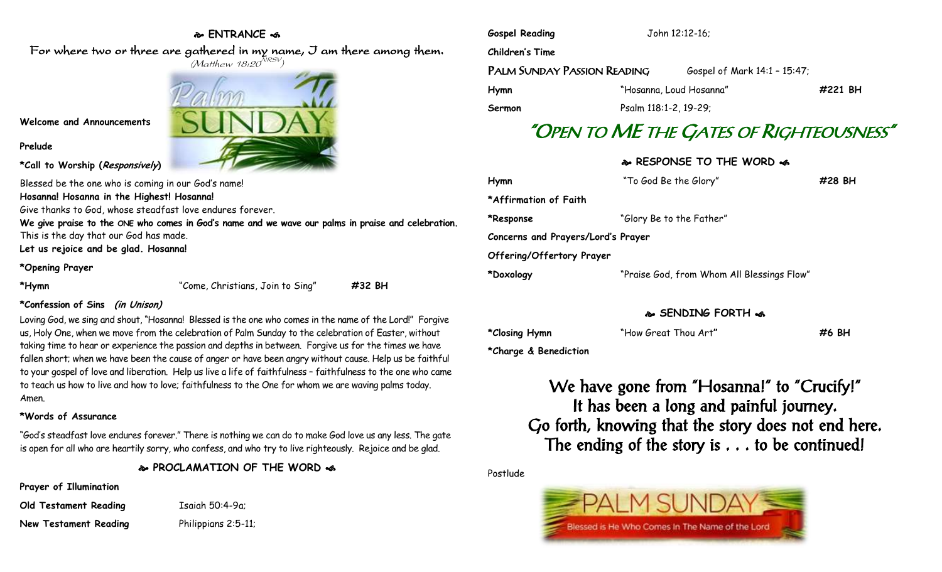## **ENTRANCE**

For where two or three are gathered in my name, I am there among them.  $(M$ atthew 18:20 $^{NRSV})$ 



### **Welcome and Announcements**

**Prelude**

**\*Call to Worship (Responsively)** 

Blessed be the one who is coming in our God's name! **Hosanna! Hosanna in the Highest! Hosanna!** 

Give thanks to God, whose steadfast love endures forever.

**We give praise to the ONE who comes in God's name and we wave our palms in praise and celebration.** This is the day that our God has made.

**Let us rejoice and be glad. Hosanna!**

### **\*Opening Prayer**

**\*Hymn** "Come, Christians, Join to Sing" **#32 BH**

## **\*Confession of Sins (in Unison)**

Loving God, we sing and shout, "Hosanna! Blessed is the one who comes in the name of the Lord!" Forgive us, Holy One, when we move from the celebration of Palm Sunday to the celebration of Easter, without taking time to hear or experience the passion and depths in between. Forgive us for the times we have fallen short; when we have been the cause of anger or have been angry without cause. Help us be faithful to your gospel of love and liberation. Help us live a life of faithfulness – faithfulness to the one who came to teach us how to live and how to love; faithfulness to the One for whom we are waving palms today. Amen.

## **\*Words of Assurance**

"God's steadfast love endures forever." There is nothing we can do to make God love us any less. The gate is open for all who are heartily sorry, who confess, and who try to live righteously. Rejoice and be glad.

**PROCLAMATION OF THE WORD** 

**Prayer of Illumination**

| Old Testament Reading |  |
|-----------------------|--|
| New Testament Readina |  |

**Old Testament Reading** Isaiah 50:4-9a; Philippians 2:5-11;

| <b>Gospel Reading</b>       | John 12:12-16;          |                              |         |
|-----------------------------|-------------------------|------------------------------|---------|
| Children's Time             |                         |                              |         |
| PALM SUNDAY PASSION READING |                         | Gospel of Mark 14:1 - 15:47; |         |
| <b>Hymn</b>                 | "Hosanna, Loud Hosanna" |                              | #221 BH |
| Sermon                      | Psalm 118:1-2, 19-29;   |                              |         |

# "OPEN TO ME THE GATES OF RIGHTEOUSNESS"

# **RESPONSE TO THE WORD**

| Hymn                               | "To God Be the Glory"                      | #28 BH |  |  |  |  |
|------------------------------------|--------------------------------------------|--------|--|--|--|--|
| *Affirmation of Faith              |                                            |        |  |  |  |  |
| *Response                          | "Glory Be to the Father"                   |        |  |  |  |  |
| Concerns and Prayers/Lord's Prayer |                                            |        |  |  |  |  |
| Offering/Offertory Prayer          |                                            |        |  |  |  |  |
| *Doxology                          | "Praise God, from Whom All Blessings Flow" |        |  |  |  |  |
|                                    |                                            |        |  |  |  |  |

# **SENDING FORTH**

| *Closing Hymn         | "How Great Thou Art" | #6 BH |
|-----------------------|----------------------|-------|
| *Charge & Benediction |                      |       |

We have gone from "Hosanna!" to "Crucify!" It has been a long and painful journey. Go forth, knowing that the story does not end here. The ending of the story is  $\ldots$  to be continued!

Postlude